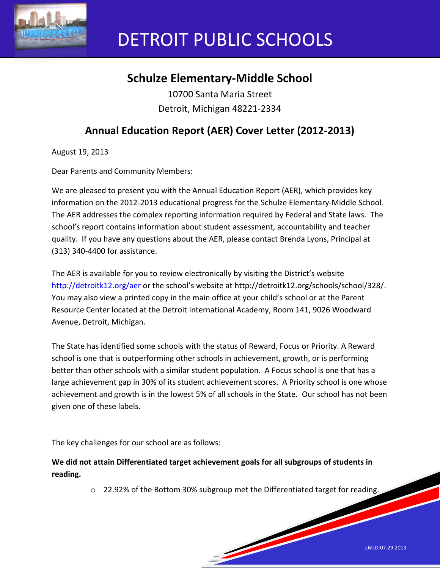

# DETROIT PUBLIC SCHOOLS

# **Schulze Elementary-Middle School**

10700 Santa Maria Street Detroit, Michigan 48221-2334

## **Annual Education Report (AER) Cover Letter (2012-2013)**

August 19, 2013

Dear Parents and Community Members:

We are pleased to present you with the Annual Education Report (AER), which provides key information on the 2012-2013 educational progress for the Schulze Elementary-Middle School. The AER addresses the complex reporting information required by Federal and State laws. The school's report contains information about student assessment, accountability and teacher quality. If you have any questions about the AER, please contact Brenda Lyons, Principal at (313) 340-4400 for assistance.

The AER is available for you to review electronically by visiting the District's website http://detroitk12.org/aer or the school's website at http://detroitk12.org/schools/school/328/. You may also view a printed copy in the main office at your child's school or at the Parent Resource Center located at the Detroit International Academy, Room 141, 9026 Woodward Avenue, Detroit, Michigan.

The State has identified some schools with the status of Reward, Focus or Priority. A Reward school is one that is outperforming other schools in achievement, growth, or is performing better than other schools with a similar student population. A Focus school is one that has a large achievement gap in 30% of its student achievement scores. A Priority school is one whose achievement and growth is in the lowest 5% of all schools in the State. Our school has not been given one of these labels.

The key challenges for our school are as follows:

**We did not attain Differentiated target achievement goals for all subgroups of students in reading.** 

 $\circ$  22.92% of the Bottom 30% subgroup met the Differentiated target for reading.

a de destinador de la característica de la característica de la característica de la característica de la característica de la característica de la característica de la característica de la característica de la característ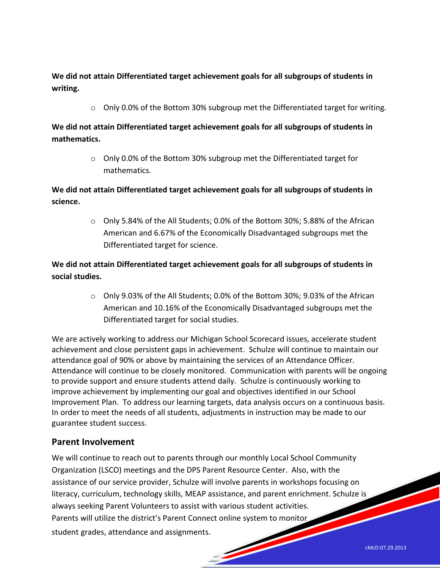**We did not attain Differentiated target achievement goals for all subgroups of students in writing.** 

 $\circ$  Only 0.0% of the Bottom 30% subgroup met the Differentiated target for writing.

**We did not attain Differentiated target achievement goals for all subgroups of students in mathematics.** 

> o Only 0.0% of the Bottom 30% subgroup met the Differentiated target for mathematics.

**We did not attain Differentiated target achievement goals for all subgroups of students in science.** 

> o Only 5.84% of the All Students; 0.0% of the Bottom 30%; 5.88% of the African American and 6.67% of the Economically Disadvantaged subgroups met the Differentiated target for science.

**We did not attain Differentiated target achievement goals for all subgroups of students in social studies.** 

> o Only 9.03% of the All Students; 0.0% of the Bottom 30%; 9.03% of the African American and 10.16% of the Economically Disadvantaged subgroups met the Differentiated target for social studies.

We are actively working to address our Michigan School Scorecard issues, accelerate student achievement and close persistent gaps in achievement. Schulze will continue to maintain our attendance goal of 90% or above by maintaining the services of an Attendance Officer. Attendance will continue to be closely monitored. Communication with parents will be ongoing to provide support and ensure students attend daily. Schulze is continuously working to improve achievement by implementing our goal and objectives identified in our School Improvement Plan. To address our learning targets, data analysis occurs on a continuous basis. In order to meet the needs of all students, adjustments in instruction may be made to our guarantee student success.

#### **Parent Involvement**

We will continue to reach out to parents through our monthly Local School Community Organization (LSCO) meetings and the DPS Parent Resource Center. Also, with the assistance of our service provider, Schulze will involve parents in workshops focusing on literacy, curriculum, technology skills, MEAP assistance, and parent enrichment. Schulze is always seeking Parent Volunteers to assist with various student activities. Parents will utilize the district's Parent Connect online system to monitor student grades, attendance and assignments.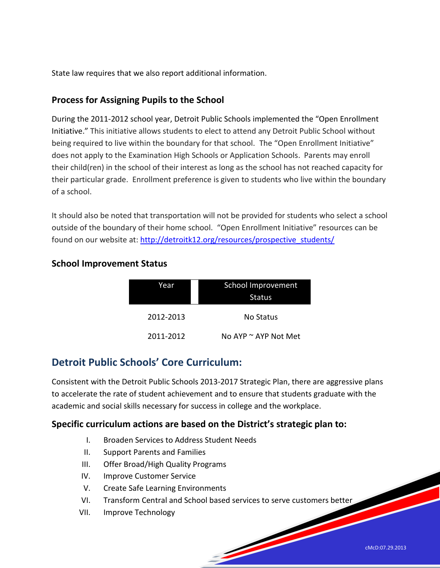State law requires that we also report additional information.

#### **Process for Assigning Pupils to the School**

During the 2011-2012 school year, Detroit Public Schools implemented the "Open Enrollment Initiative." This initiative allows students to elect to attend any Detroit Public School without being required to live within the boundary for that school. The "Open Enrollment Initiative" does not apply to the Examination High Schools or Application Schools. Parents may enroll their child(ren) in the school of their interest as long as the school has not reached capacity for their particular grade. Enrollment preference is given to students who live within the boundary of a school.

It should also be noted that transportation will not be provided for students who select a school outside of the boundary of their home school. "Open Enrollment Initiative" resources can be found on our website at: [http://detroitk12.org/resources/prospective\\_students/](http://detroitk12.org/resources/prospective_students/)

| Year      | School Improvement   |  |
|-----------|----------------------|--|
|           | <b>Status</b>        |  |
| 2012-2013 | No Status            |  |
| 2011-2012 | No AYP ~ AYP Not Met |  |

#### **School Improvement Status**

## **Detroit Public Schools' Core Curriculum:**

Consistent with the Detroit Public Schools 2013-2017 Strategic Plan, there are aggressive plans to accelerate the rate of student achievement and to ensure that students graduate with the academic and social skills necessary for success in college and the workplace.

#### **Specific curriculum actions are based on the District's strategic plan to:**

- I. Broaden Services to Address Student Needs
- II. Support Parents and Families
- III. Offer Broad/High Quality Programs
- IV. Improve Customer Service
- V. Create Safe Learning Environments
- VI. Transform Central and School based services to serve customers better

and the second contract of the contract of

VII. Improve Technology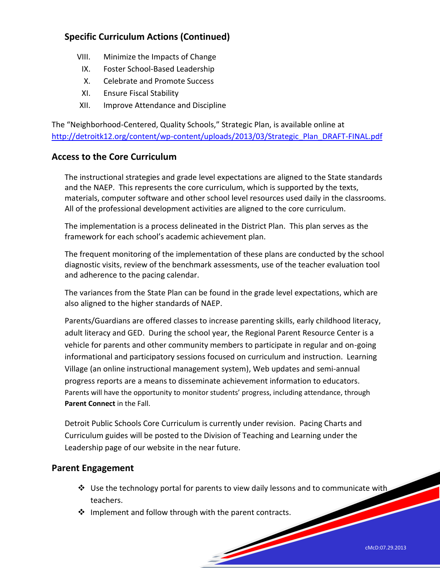### **Specific Curriculum Actions (Continued)**

- VIII. Minimize the Impacts of Change
	- IX. Foster School-Based Leadership
	- X. Celebrate and Promote Success
- XI. Ensure Fiscal Stability
- XII. Improve Attendance and Discipline

The "Neighborhood-Centered, Quality Schools," Strategic Plan, is available online at [http://detroitk12.org/content/wp-content/uploads/2013/03/Strategic\\_Plan\\_DRAFT-FINAL.pdf](http://detroitk12.org/content/wp-content/uploads/2013/03/Strategic_Plan_DRAFT-FINAL.pdf)

#### **Access to the Core Curriculum**

The instructional strategies and grade level expectations are aligned to the State standards and the NAEP. This represents the core curriculum, which is supported by the texts, materials, computer software and other school level resources used daily in the classrooms. All of the professional development activities are aligned to the core curriculum.

The implementation is a process delineated in the District Plan. This plan serves as the framework for each school's academic achievement plan.

The frequent monitoring of the implementation of these plans are conducted by the school diagnostic visits, review of the benchmark assessments, use of the teacher evaluation tool and adherence to the pacing calendar.

The variances from the State Plan can be found in the grade level expectations, which are also aligned to the higher standards of NAEP.

Parents/Guardians are offered classes to increase parenting skills, early childhood literacy, adult literacy and GED. During the school year, the Regional Parent Resource Center is a vehicle for parents and other community members to participate in regular and on-going informational and participatory sessions focused on curriculum and instruction. Learning Village (an online instructional management system), Web updates and semi-annual progress reports are a means to disseminate achievement information to educators. Parents will have the opportunity to monitor students' progress, including attendance, through **Parent Connect** in the Fall.

Detroit Public Schools Core Curriculum is currently under revision. Pacing Charts and Curriculum guides will be posted to the Division of Teaching and Learning under the Leadership page of our website in the near future.

#### **Parent Engagement**

 $\clubsuit$  Use the technology portal for parents to view daily lessons and to communicate with teachers.

<u>Services and the services of the services of the services of the series of the series of the series of the series of the series of the series of the series of the series of the series of the series of the series of the se</u>

 $\cdot \cdot$  Implement and follow through with the parent contracts.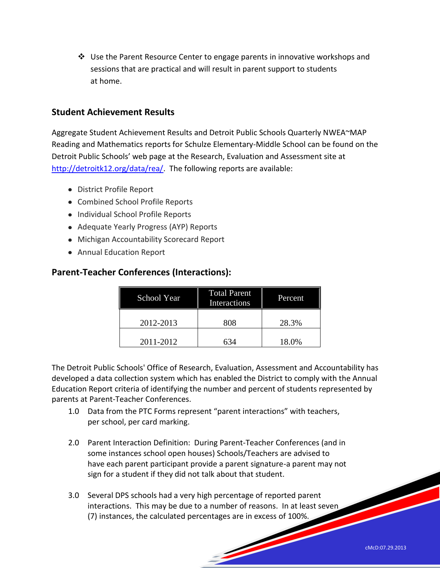$\cdot \cdot$  Use the Parent Resource Center to engage parents in innovative workshops and sessions that are practical and will result in parent support to students at home.

#### **Student Achievement Results**

Aggregate Student Achievement Results and Detroit Public Schools Quarterly NWEA~MAP Reading and Mathematics reports for Schulze Elementary-Middle School can be found on the Detroit Public Schools' web page at the Research, Evaluation and Assessment site at [http://detroitk12.org/data/rea/.](http://detroitk12.org/data/rea/) The following reports are available:

- District Profile Report
- Combined School Profile Reports
- Individual School Profile Reports
- Adequate Yearly Progress (AYP) Reports
- Michigan Accountability Scorecard Report
- Annual Education Report

#### **Parent-Teacher Conferences (Interactions):**

| School Year | <b>Total Parent</b><br><b>Interactions</b> | Percent |
|-------------|--------------------------------------------|---------|
| 2012-2013   | 808                                        | 28.3%   |
| 2011-2012   | 634                                        | 18.0%   |

The Detroit Public Schools' Office of Research, Evaluation, Assessment and Accountability has developed a data collection system which has enabled the District to comply with the Annual Education Report criteria of identifying the number and percent of students represented by parents at Parent-Teacher Conferences.

- 1.0 Data from the PTC Forms represent "parent interactions" with teachers, per school, per card marking.
- 2.0 Parent Interaction Definition: During Parent-Teacher Conferences (and in some instances school open houses) Schools/Teachers are advised to have each parent participant provide a parent signature-a parent may not sign for a student if they did not talk about that student.
- 3.0 Several DPS schools had a very high percentage of reported parent interactions. This may be due to a number of reasons. In at least seven (7) instances, the calculated percentages are in excess of 100%.

**Soldiers**